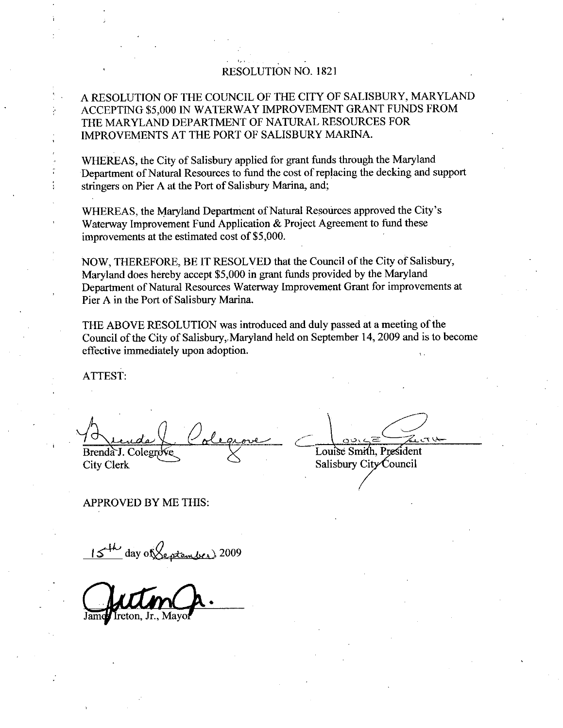### RESOLUTION NO. 1821

# A RESOLUTION OF THE COUNCIL OF THE CITY OF SALISBURY MARYLAND ACCEPTING \$5,000 IN WATERWAY IMPROVEMENT GRANT FUNDS FROM THE MARYLAND DEPARTMENT OF NATURAL RESOURCES FOR IMPROVEMENTS AT THE PORT OF SALISBURY MARINA

WHEREAS, the City of Salisbury applied for grant funds through the Maryland Department of Natural Resources to fund the costofreplacing the decking and support stringers on Pier A at the Port of Salisbury Marina, and;

Superintent of Natural Resources to Tatal and Coordinate of Maryland, and;<br>WHEREAS, the Maryland Department of Natural Resources approved the City's<br>Waterway Improvement Fund Application & Project Agreement to fund these Waterway Improvement Fund Application & Project Agreement to fund these improvements at the estimated cost of \$5,000. WHEREAS, the Maryland Department of Nat<br>Waterway Improvement Fund Application & l<br>improvements at the estimated cost of \$5,000.

NOW, THEREFORE, BE IT RESOLVED that the Council of the City of Salisbury, Maryland does hereby accept \$5,000 in grant funds provided by the Maryland improvements at the estimated cost of \$5,000.<br>NOW, THEREFORE, BE IT RESOLVED that the Council of the City of Salisbury,<br>Maryland does hereby accept \$5,000 in grant funds provided by the Maryland<br>Department of Natural Resou Pier A in the Port of Salisbury Marina. and does hereby accept \$5,000 in grant funds provided by the Maryland<br>tment of Natural Resources Waterway Improvement Grant for improvement<br>in the Port of Salisbury Marina.<br>ABOVE RESOLUTION was introduced and duly passed a NOW, THEREFORE, BE IT RESOLVED that the Council of the City of Sal<br>Maryland does hereby accept \$5,000 in grant funds provided by the Marylan<br>Department of Natural Resources Waterway Improvement Grant for improve<br>Pier A in

THE ABOVE RESOLUTION was introduced and duly passed at ameeting of the Council of the City of Salisbury, Maryland held on September 14, 2009 and is to become effective immediately upon adoption

ATTEST

Brenda J. Colegrove Colegrove Louise Smith, Presider<br>City Clerk Salisbury City Council

APPROVED BY ME THIS

 $\frac{day \text{ of } x}{x}$  2009

freton. Jr., Mayo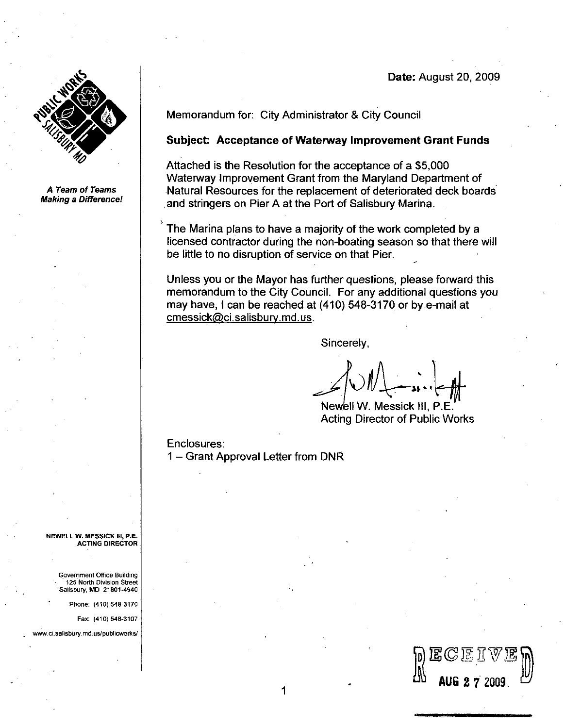## Date: August 20, 2009



A Team of Teams **Making a Difference!**  Memorandum for: City Administrator & City Council

### Subject: Acceptance of Waterway Improvement Grant Funds

Subject: Acceptance of Waterway Improvement Grant Fund<br>Attached is the Resolution for the acceptance of a \$5,000<br>Waterway Improvement Grant from the Maryland Department of Natural Resources for the replacement of deteriorated deck boards and stringers on Pier A at the Port of Salisbury Marina Memorandum for: City Administr<br> **Subject: Acceptance of Water**<br>
Attached is the Resolution for the<br>
Waterway Improvement Grant fro<br>
Natural Resources for the replace<br>
and stringers on Pier A at the Pot<br>
The Marina plans to

The Marina plans to have <sup>a</sup> majority of the work completed by <sup>a</sup> licensed contractor during the non-boating season so that there will be little to no disruption of service on that Pier

Unless you or the Mayor has further questions, please forward this memorandum to the City Council. For any additional questions you Unless you or the Mayor has further questions, please forware<br>memorandum to the City Council. For any additional questior<br>may have, I can be reached at (410) 548-3170 or by e-mail at<br>cmessick@ci.salisburv.md.us.

Sincerely

Newell W. Messick III, P.E. Acting Director of Public Works

D<br>BCEIVED<br>AL aug 2 7 2009

Enclosures 1 – Grant Approval Letter from DNR

 $\mathbf 1$ 

NEWELLW MESSICK III PE ACTING DIRECTOR

Government Office Building 125 North Division Street Salisbury, MD 21801-4940 125 North Division Street<br>
Salisbury, MD 21801-4940<br>
Phone: (410) 548-3170<br>
Fax: (410) 548-3107<br>
www.ci.salisbury.md.us/publicworks/

Phone: (410) 548-3170

Fax: (410) 548-3107